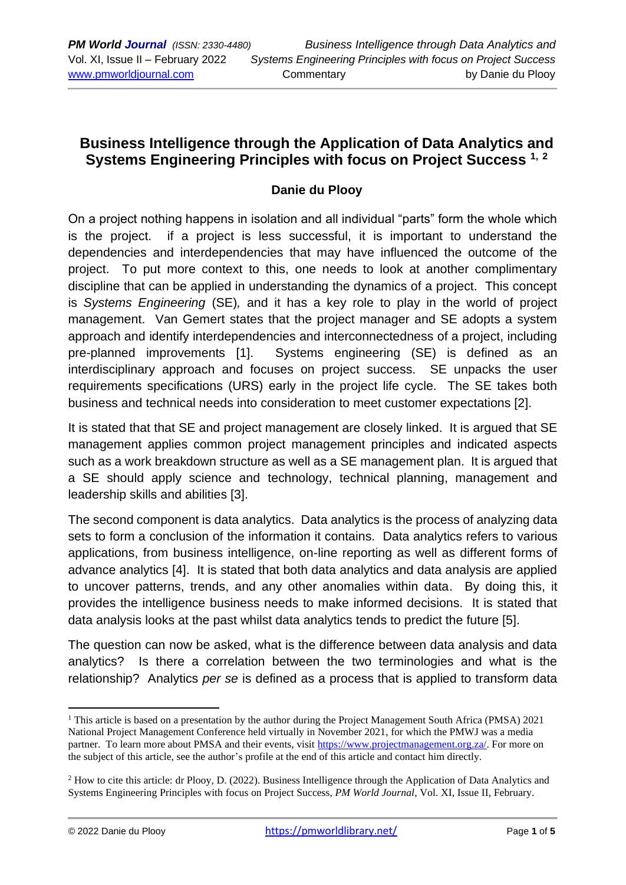# **Business Intelligence through the Application of Data Analytics and Systems Engineering Principles with focus on Project Success 1, <sup>2</sup>**

### **Danie du Plooy**

On a project nothing happens in isolation and all individual "parts" form the whole which is the project. if a project is less successful, it is important to understand the dependencies and interdependencies that may have influenced the outcome of the project. To put more context to this, one needs to look at another complimentary discipline that can be applied in understanding the dynamics of a project. This concept is *Systems Engineering* (SE)*,* and it has a key role to play in the world of project management. Van Gemert states that the project manager and SE adopts a system approach and identify interdependencies and interconnectedness of a project, including pre-planned improvements [1]. Systems engineering (SE) is defined as an interdisciplinary approach and focuses on project success. SE unpacks the user requirements specifications (URS) early in the project life cycle. The SE takes both business and technical needs into consideration to meet customer expectations [2].

It is stated that that SE and project management are closely linked. It is argued that SE management applies common project management principles and indicated aspects such as a work breakdown structure as well as a SE management plan. It is argued that a SE should apply science and technology, technical planning, management and leadership skills and abilities [3].

The second component is data analytics. Data analytics is the process of analyzing data sets to form a conclusion of the information it contains. Data analytics refers to various applications, from business intelligence, on-line reporting as well as different forms of advance analytics [4]. It is stated that both data analytics and data analysis are applied to uncover patterns, trends, and any other anomalies within data. By doing this, it provides the intelligence business needs to make informed decisions. It is stated that data analysis looks at the past whilst data analytics tends to predict the future [5].

The question can now be asked, what is the difference between data analysis and data analytics? Is there a correlation between the two terminologies and what is the relationship? Analytics *per se* is defined as a process that is applied to transform data

<sup>&</sup>lt;sup>1</sup> This article is based on a presentation by the author during the Project Management South Africa (PMSA) 2021 National Project Management Conference held virtually in November 2021, for which the PMWJ was a media partner. To learn more about PMSA and their events, visit [https://www.projectmanagement.org.za/.](https://www.projectmanagement.org.za/) For more on the subject of this article, see the author's profile at the end of this article and contact him directly.

<sup>2</sup> How to cite this article: dr Plooy, D. (2022). Business Intelligence through the Application of Data Analytics and Systems Engineering Principles with focus on Project Success, *PM World Journal*, Vol. XI, Issue II, February.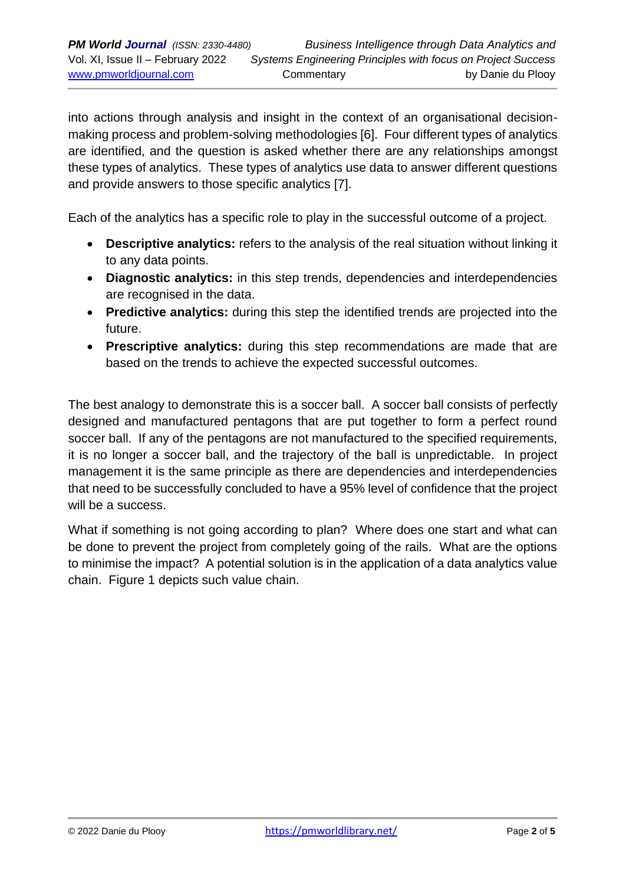into actions through analysis and insight in the context of an organisational decisionmaking process and problem-solving methodologies [6]. Four different types of analytics are identified, and the question is asked whether there are any relationships amongst these types of analytics. These types of analytics use data to answer different questions and provide answers to those specific analytics [7].

Each of the analytics has a specific role to play in the successful outcome of a project.

- **Descriptive analytics:** refers to the analysis of the real situation without linking it to any data points.
- **Diagnostic analytics:** in this step trends, dependencies and interdependencies are recognised in the data.
- **Predictive analytics:** during this step the identified trends are projected into the future.
- **Prescriptive analytics:** during this step recommendations are made that are based on the trends to achieve the expected successful outcomes.

The best analogy to demonstrate this is a soccer ball. A soccer ball consists of perfectly designed and manufactured pentagons that are put together to form a perfect round soccer ball. If any of the pentagons are not manufactured to the specified requirements, it is no longer a soccer ball, and the trajectory of the ball is unpredictable. In project management it is the same principle as there are dependencies and interdependencies that need to be successfully concluded to have a 95% level of confidence that the project will be a success.

What if something is not going according to plan? Where does one start and what can be done to prevent the project from completely going of the rails. What are the options to minimise the impact? A potential solution is in the application of a data analytics value chain. Figure 1 depicts such value chain.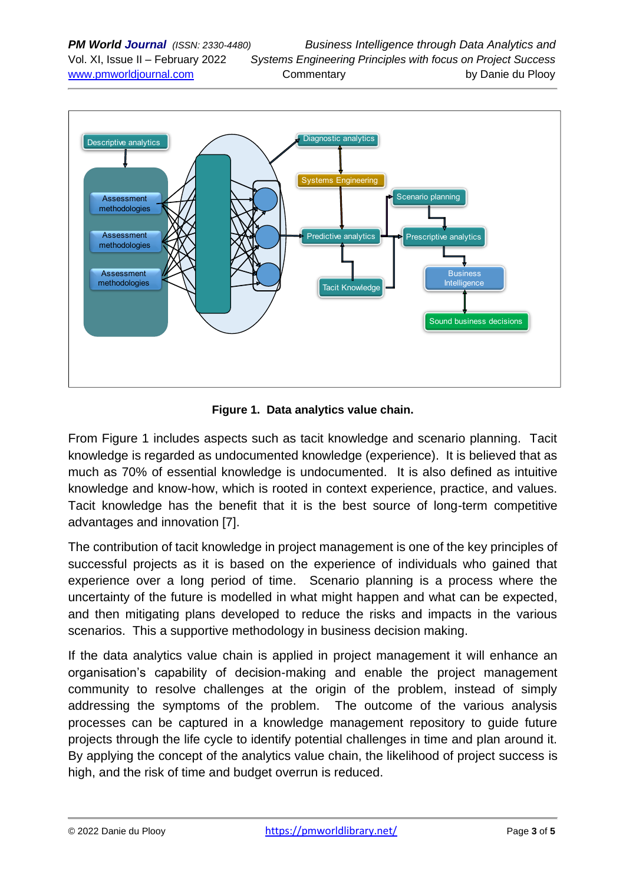

**Figure 1. Data analytics value chain.**

From Figure 1 includes aspects such as tacit knowledge and scenario planning. Tacit knowledge is regarded as undocumented knowledge (experience). It is believed that as much as 70% of essential knowledge is undocumented. It is also defined as intuitive knowledge and know-how, which is rooted in context experience, practice, and values. Tacit knowledge has the benefit that it is the best source of long-term competitive advantages and innovation [7].

The contribution of tacit knowledge in project management is one of the key principles of successful projects as it is based on the experience of individuals who gained that experience over a long period of time. Scenario planning is a process where the uncertainty of the future is modelled in what might happen and what can be expected, and then mitigating plans developed to reduce the risks and impacts in the various scenarios. This a supportive methodology in business decision making.

If the data analytics value chain is applied in project management it will enhance an organisation's capability of decision-making and enable the project management community to resolve challenges at the origin of the problem, instead of simply addressing the symptoms of the problem. The outcome of the various analysis processes can be captured in a knowledge management repository to guide future projects through the life cycle to identify potential challenges in time and plan around it. By applying the concept of the analytics value chain, the likelihood of project success is high, and the risk of time and budget overrun is reduced.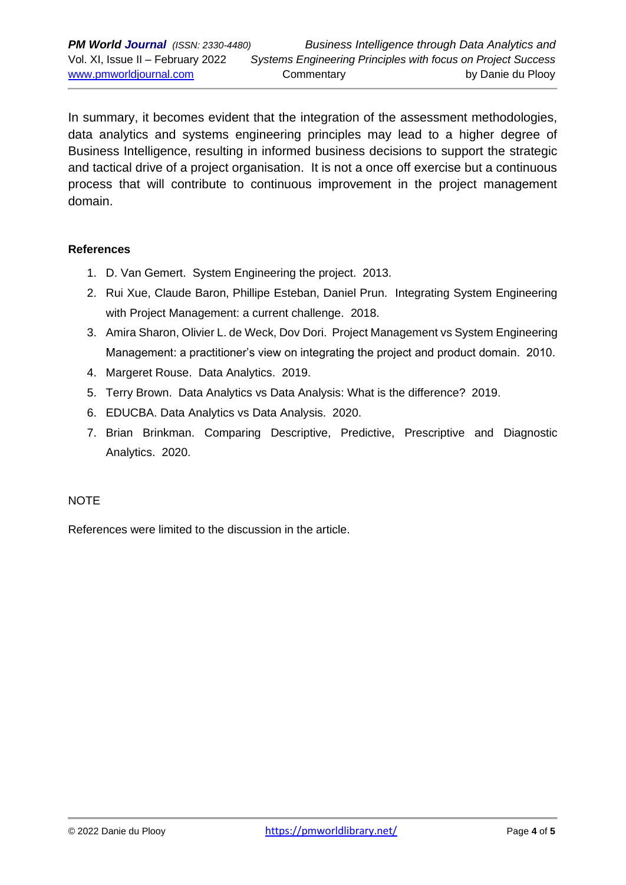In summary, it becomes evident that the integration of the assessment methodologies, data analytics and systems engineering principles may lead to a higher degree of Business Intelligence, resulting in informed business decisions to support the strategic and tactical drive of a project organisation. It is not a once off exercise but a continuous process that will contribute to continuous improvement in the project management domain.

#### **References**

- 1. D. Van Gemert. System Engineering the project. 2013.
- 2. Rui Xue, Claude Baron, Phillipe Esteban, Daniel Prun. Integrating System Engineering with Project Management: a current challenge. 2018.
- 3. Amira Sharon, Olivier L. de Weck, Dov Dori. Project Management vs System Engineering Management: a practitioner's view on integrating the project and product domain. 2010.
- 4. Margeret Rouse. Data Analytics. 2019.
- 5. Terry Brown. Data Analytics vs Data Analysis: What is the difference? 2019.
- 6. EDUCBA. Data Analytics vs Data Analysis. 2020.
- 7. Brian Brinkman. Comparing Descriptive, Predictive, Prescriptive and Diagnostic Analytics. 2020.

#### **NOTE**

References were limited to the discussion in the article.